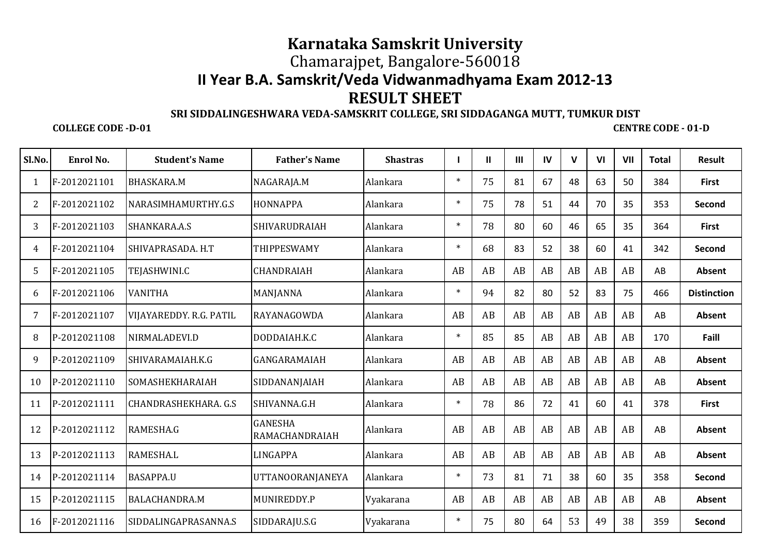## **II Year B.A. Samskrit/Veda Vidwanmadhyama Exam 2012-13 Karnataka Samskrit University** Chamarajpet, Bangalore-560018**RESULT SHEET**

## **SRI SIDDALINGESHWARA VEDA-SAMSKRIT COLLEGE, SRI SIDDAGANGA MUTT, TUMKUR DIST**

## **COLLEGE CODE -D-01**

 **CENTRE CODE - 01-DCENTRE CODE - 01-D** 

| Sl.No. | Enrol No.    | <b>Student's Name</b>          | <b>Father's Name</b>                    | <b>Shastras</b> | $\mathbf{I}$ | $\mathbf{I}$ | $\mathbf{III}$ | IV | $\mathbf{V}$ | VI | VII | <b>Total</b> | Result             |
|--------|--------------|--------------------------------|-----------------------------------------|-----------------|--------------|--------------|----------------|----|--------------|----|-----|--------------|--------------------|
|        | F-2012021101 | <b>BHASKARA.M</b>              | NAGARAJA.M                              | Alankara        | $\ast$       | 75           | 81             | 67 | 48           | 63 | 50  | 384          | <b>First</b>       |
| 2      | F-2012021102 | NARASIMHAMURTHY.G.S            | <b>HONNAPPA</b>                         | Alankara        | $\ast$       | 75           | 78             | 51 | 44           | 70 | 35  | 353          | Second             |
| 3      | F-2012021103 | SHANKARA.A.S                   | <b>SHIVARUDRAIAH</b>                    | Alankara        | $\ast$       | 78           | 80             | 60 | 46           | 65 | 35  | 364          | <b>First</b>       |
| 4      | F-2012021104 | SHIVAPRASADA. H.T              | <b>THIPPESWAMY</b>                      | Alankara        | $\ast$       | 68           | 83             | 52 | 38           | 60 | 41  | 342          | Second             |
| 5      | F-2012021105 | <b>TEJASHWINLC</b>             | <b>CHANDRAIAH</b>                       | Alankara        | AB           | AB           | AB             | AB | AB           | AB | AB  | AB           | Absent             |
| 6      | F-2012021106 | <b>VANITHA</b>                 | MANJANNA                                | Alankara        | $\ast$       | 94           | 82             | 80 | 52           | 83 | 75  | 466          | <b>Distinction</b> |
| 7      | F-2012021107 | <b>VIJAYAREDDY, R.G. PATIL</b> | RAYANAGOWDA                             | Alankara        | AB           | AB           | AB             | AB | AB           | AB | AB  | AB           | Absent             |
| 8      | P-2012021108 | NIRMALADEVI.D                  | DODDAIAH.K.C                            | Alankara        | $\ast$       | 85           | 85             | AB | AB           | AB | AB  | 170          | Faill              |
| 9      | P-2012021109 | SHIVARAMAIAH.K.G               | <b>GANGARAMAIAH</b>                     | Alankara        | AB           | AB           | AB             | AB | AB           | AB | AB  | AB           | Absent             |
| 10     | P-2012021110 | <b>SOMASHEKHARAIAH</b>         | SIDDANANJAIAH                           | Alankara        | AB           | AB           | AB             | AB | AB           | AB | AB  | AB           | Absent             |
| 11     | P-2012021111 | <b>CHANDRASHEKHARA. G.S.</b>   | SHIVANNA.G.H                            | Alankara        | $\ast$       | 78           | 86             | 72 | 41           | 60 | 41  | 378          | <b>First</b>       |
| 12     | P-2012021112 | RAMESHA.G                      | <b>GANESHA</b><br><b>RAMACHANDRAIAH</b> | Alankara        | AB           | AB           | AB             | AB | AB           | AB | AB  | AB           | Absent             |
| 13     | P-2012021113 | <b>RAMESHA.L</b>               | <b>LINGAPPA</b>                         | Alankara        | AB           | AB           | AB             | AB | AB           | AB | AB  | AB           | Absent             |
| 14     | P-2012021114 | <b>BASAPPA.U</b>               | <b>UTTANOORANJANEYA</b>                 | Alankara        | $\ast$       | 73           | 81             | 71 | 38           | 60 | 35  | 358          | Second             |
| 15     | P-2012021115 | <b>BALACHANDRA.M</b>           | MUNIREDDY.P                             | Vyakarana       | AB           | AB           | AB             | AB | AB           | AB | AB  | AB           | Absent             |
| 16     | F-2012021116 | SIDDALINGAPRASANNA.S           | SIDDARAJU.S.G                           | Vyakarana       | $\ast$       | 75           | 80             | 64 | 53           | 49 | 38  | 359          | Second             |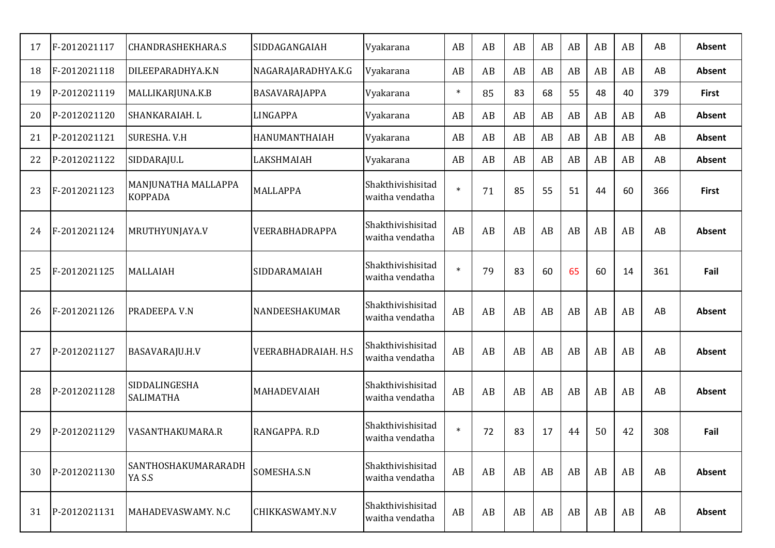| 17 | F-2012021117 | <b>CHANDRASHEKHARA.S</b>              | SIDDAGANGAIAH          | Vyakarana                            | AB     | AB | AB | AB | AB | AB | AB | AB  | Absent       |
|----|--------------|---------------------------------------|------------------------|--------------------------------------|--------|----|----|----|----|----|----|-----|--------------|
| 18 | F-2012021118 | DILEEPARADHYA.K.N                     | NAGARAJARADHYA.K.G     | Vyakarana                            | AB     | AB | AB | AB | AB | AB | AB | AB  | Absent       |
| 19 | P-2012021119 | MALLIKARJUNA.K.B                      | BASAVARAJAPPA          | Vyakarana                            | $\ast$ | 85 | 83 | 68 | 55 | 48 | 40 | 379 | <b>First</b> |
| 20 | P-2012021120 | SHANKARAIAH. L                        | <b>LINGAPPA</b>        | Vyakarana                            | AB     | AB | AB | AB | AB | AB | AB | AB  | Absent       |
| 21 | P-2012021121 | SURESHA. V.H                          | HANUMANTHAIAH          | Vyakarana                            | AB     | AB | AB | AB | AB | AB | AB | AB  | Absent       |
| 22 | P-2012021122 | SIDDARAJU.L                           | LAKSHMAIAH             | Vyakarana                            | AB     | AB | AB | AB | AB | AB | AB | AB  | Absent       |
| 23 | F-2012021123 | MANJUNATHA MALLAPPA<br><b>KOPPADA</b> | <b>MALLAPPA</b>        | Shakthivishisitad<br>waitha vendatha | $\ast$ | 71 | 85 | 55 | 51 | 44 | 60 | 366 | <b>First</b> |
| 24 | F-2012021124 | MRUTHYUNJAYA.V                        | VEERABHADRAPPA         | Shakthivishisitad<br>waitha vendatha | AB     | AB | AB | AB | AB | AB | AB | AB  | Absent       |
| 25 | F-2012021125 | <b>MALLAIAH</b>                       | SIDDARAMAIAH           | Shakthivishisitad<br>waitha vendatha | $\ast$ | 79 | 83 | 60 | 65 | 60 | 14 | 361 | Fail         |
| 26 | F-2012021126 | PRADEEPA. V.N                         | NANDEESHAKUMAR         | Shakthivishisitad<br>waitha vendatha | AB     | AB | AB | AB | AB | AB | AB | AB  | Absent       |
| 27 | P-2012021127 | BASAVARAJU.H.V                        | VEERABHADRAIAH. H.S    | Shakthivishisitad<br>waitha vendatha | AB     | AB | AB | AB | AB | AB | AB | AB  | Absent       |
| 28 | P-2012021128 | SIDDALINGESHA<br><b>SALIMATHA</b>     | MAHADEVAIAH            | Shakthivishisitad<br>waitha vendatha | AB     | AB | AB | AB | AB | AB | AB | AB  | Absent       |
| 29 | P-2012021129 | VASANTHAKUMARA.R                      | RANGAPPA. R.D          | Shakthivishisitad<br>waitha vendatha | $\ast$ | 72 | 83 | 17 | 44 | 50 | 42 | 308 | Fail         |
| 30 | P-2012021130 | SANTHOSHAKUMARARADH<br>YA S.S         | SOMESHA.S.N            | Shakthivishisitad<br>waitha vendatha | AB     | AB | AB | AB | AB | AB | AB | AB  | Absent       |
| 31 | P-2012021131 | MAHADEVASWAMY. N.C                    | <b>CHIKKASWAMY.N.V</b> | Shakthivishisitad<br>waitha vendatha | AB     | AB | AB | AB | AB | AB | AB | AB  | Absent       |